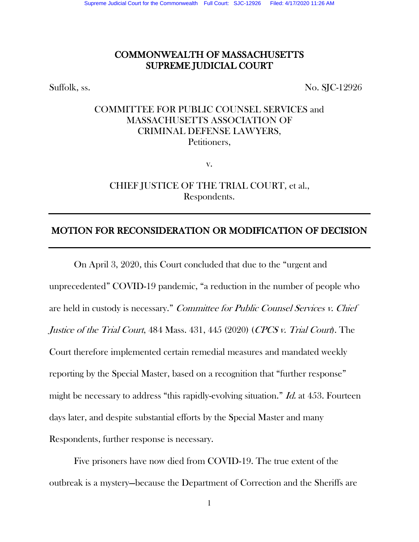## COMMONWEALTH OF MASSACHUSETTS SUPREME JUDICIAL COURT

Suffolk, ss. No. SJC-12926

# COMMITTEE FOR PUBLIC COUNSEL SERVICES and MASSACHUSETTS ASSOCIATION OF CRIMINAL DEFENSE LAWYERS, Petitioners,

v.

CHIEF JUSTICE OF THE TRIAL COURT, et al., Respondents.

## MOTION FOR RECONSIDERATION OR MODIFICATION OF DECISION

 On April 3, 2020, this Court concluded that due to the "urgent and unprecedented" COVID-19 pandemic, "a reduction in the number of people who are held in custody is necessary." Committee for Public Counsel Services v. Chief Justice of the Trial Court, 484 Mass. 431, 445 (2020) (CPCS v. Trial Court). The Court therefore implemented certain remedial measures and mandated weekly reporting by the Special Master, based on a recognition that "further response" might be necessary to address "this rapidly-evolving situation." Id. at 453. Fourteen days later, and despite substantial efforts by the Special Master and many Respondents, further response is necessary.

 Five prisoners have now died from COVID-19. The true extent of the outbreak is a mystery—because the Department of Correction and the Sheriffs are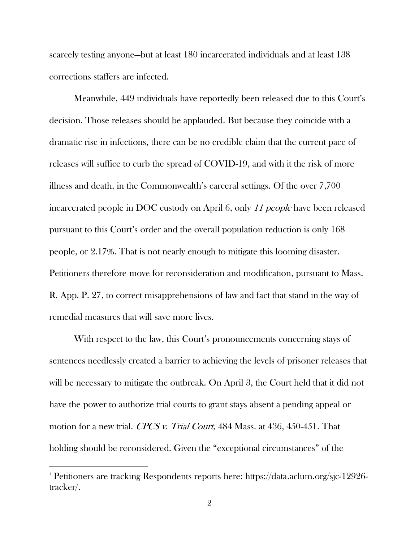scarcely testing anyone—but at least 180 incarcerated individuals and at least 138 corrections staffers are infected. 1

Meanwhile, 449 individuals have reportedly been released due to this Court's decision. Those releases should be applauded. But because they coincide with a dramatic rise in infections, there can be no credible claim that the current pace of releases will suffice to curb the spread of COVID-19, and with it the risk of more illness and death, in the Commonwealth's carceral settings. Of the over 7,700 incarcerated people in DOC custody on April 6, only <sup>11</sup> people have been released pursuant to this Court's order and the overall population reduction is only 168 people, or 2.17%. That is not nearly enough to mitigate this looming disaster. Petitioners therefore move for reconsideration and modification, pursuant to Mass. R. App. P. 27, to correct misapprehensions of law and fact that stand in the way of remedial measures that will save more lives.

With respect to the law, this Court's pronouncements concerning stays of sentences needlessly created a barrier to achieving the levels of prisoner releases that will be necessary to mitigate the outbreak. On April 3, the Court held that it did not have the power to authorize trial courts to grant stays absent a pending appeal or motion for a new trial. CPCS v. Trial Court, 484 Mass. at 436, 450-451. That holding should be reconsidered. Given the "exceptional circumstances" of the

<sup>1</sup> Petitioners are tracking Respondents reports here: https://data.aclum.org/sjc-12926 tracker/.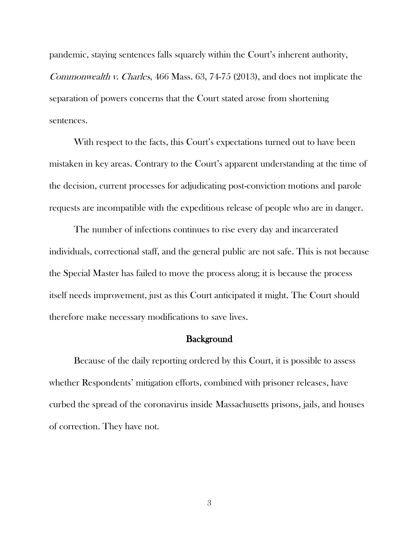pandemic, staying sentences falls squarely within the Court's inherent authority, Commonwealth v. Charles, 466 Mass. 63, 74-75 (2013), and does not implicate the separation of powers concerns that the Court stated arose from shortening sentences.

With respect to the facts, this Court's expectations turned out to have been mistaken in key areas. Contrary to the Court's apparent understanding at the time of the decision, current processes for adjudicating post-conviction motions and parole requests are incompatible with the expeditious release of people who are in danger.

The number of infections continues to rise every day and incarcerated individuals, correctional staff, and the general public are not safe. This is not because the Special Master has failed to move the process along; it is because the process itself needs improvement, just as this Court anticipated it might. The Court should therefore make necessary modifications to save lives.

#### **Background**

Because of the daily reporting ordered by this Court, it is possible to assess whether Respondents' mitigation efforts, combined with prisoner releases, have curbed the spread of the coronavirus inside Massachusetts prisons, jails, and houses of correction. They have not.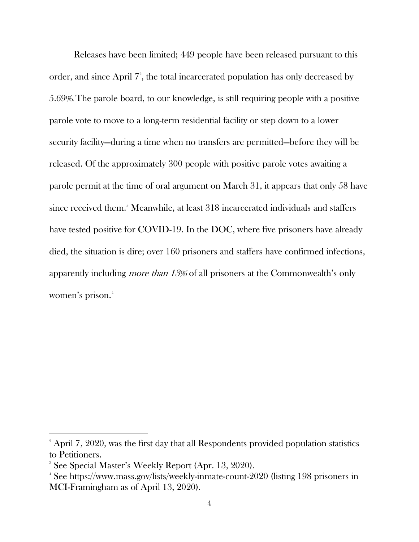Releases have been limited; 449 people have been released pursuant to this order, and since April 7 2 , the total incarcerated population has only decreased by 5.69%.The parole board, to our knowledge, is still requiring people with a positive parole vote to move to a long-term residential facility or step down to a lower security facility—during a time when no transfers are permitted—before they will be released. Of the approximately 300 people with positive parole votes awaiting a parole permit at the time of oral argument on March 31, it appears that only 58 have since received them.<sup>3</sup> Meanwhile, at least 318 incarcerated individuals and staffers have tested positive for COVID-19. In the DOC, where five prisoners have already died, the situation is dire; over 160 prisoners and staffers have confirmed infections, apparently including more than 13% of all prisoners at the Commonwealth's only women's prison.<sup>4</sup>

l

<sup>&</sup>lt;sup>2</sup> April 7, 2020, was the first day that all Respondents provided population statistics to Petitioners.

<sup>3</sup> See Special Master's Weekly Report (Apr. 13, 2020).

<sup>4</sup> See https://www.mass.gov/lists/weekly-inmate-count-2020 (listing 198 prisoners in MCI-Framingham as of April 13, 2020).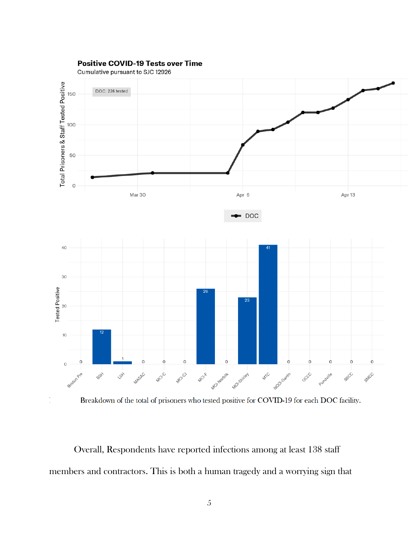

#### **Positive COVID-19 Tests over Time**

Cumulative pursuant to SJC 12926

l,



Overall, Respondents have reported infections among at least 138 staff members and contractors. This is both a human tragedy and a worrying sign that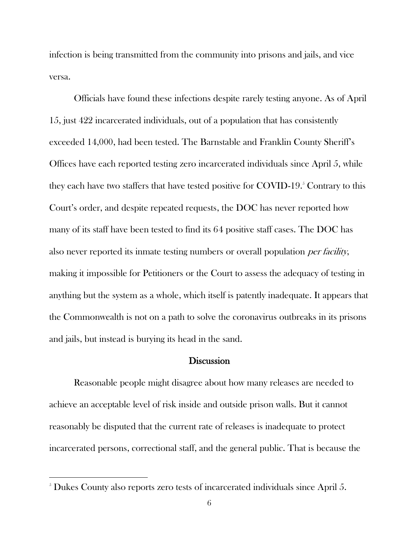infection is being transmitted from the community into prisons and jails, and vice versa.

Officials have found these infections despite rarely testing anyone. As of April 15, just 422 incarcerated individuals, out of a population that has consistently exceeded 14,000, had been tested. The Barnstable and Franklin County Sheriff's Offices have each reported testing zero incarcerated individuals since April 5, while they each have two staffers that have tested positive for COVID-19. $^5$  Contrary to this Court's order, and despite repeated requests, the DOC has never reported how many of its staff have been tested to find its 64 positive staff cases. The DOC has also never reported its inmate testing numbers or overall population per facility, making it impossible for Petitioners or the Court to assess the adequacy of testing in anything but the system as a whole, which itself is patently inadequate. It appears that the Commonwealth is not on a path to solve the coronavirus outbreaks in its prisons and jails, but instead is burying its head in the sand.

#### **Discussion**

Reasonable people might disagree about how many releases are needed to achieve an acceptable level of risk inside and outside prison walls. But it cannot reasonably be disputed that the current rate of releases is inadequate to protect incarcerated persons, correctional staff, and the general public. That is because the

<sup>&</sup>lt;sup>5</sup> Dukes County also reports zero tests of incarcerated individuals since April 5.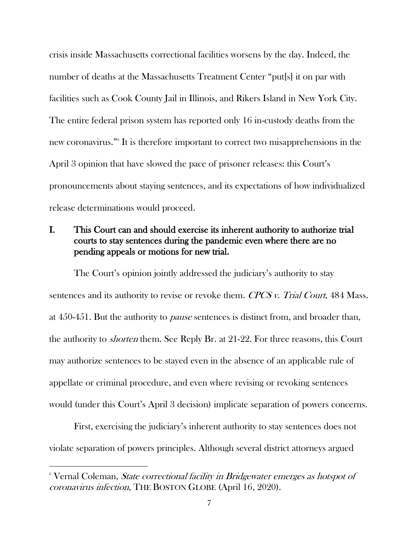crisis inside Massachusetts correctional facilities worsens by the day. Indeed, the number of deaths at the Massachusetts Treatment Center "put[s] it on par with facilities such as Cook County Jail in Illinois, and Rikers Island in New York City. The entire federal prison system has reported only 16 in-custody deaths from the new coronavirus."<sup>6</sup> It is therefore important to correct two misapprehensions in the April 3 opinion that have slowed the pace of prisoner releases: this Court's pronouncements about staying sentences, and its expectations of how individualized release determinations would proceed.

## I. This Court can and should exercise its inherent authority to authorize trial courts to stay sentences during the pandemic even where there are no pending appeals or motions for new trial.

The Court's opinion jointly addressed the judiciary's authority to stay sentences and its authority to revise or revoke them. CPCS v. Trial Court, 484 Mass. at 450-451. But the authority to pause sentences is distinct from, and broader than, the authority to shorten them. See Reply Br. at 21-22. For three reasons, this Court may authorize sentences to be stayed even in the absence of an applicable rule of appellate or criminal procedure, and even where revising or revoking sentences would (under this Court's April 3 decision) implicate separation of powers concerns.

First, exercising the judiciary's inherent authority to stay sentences does not violate separation of powers principles. Although several district attorneys argued

<sup>&</sup>lt;sup>6</sup> Vernal Coleman, *State correctional facility in Bridgewater emerges as hotspot of* coronavirus infection, THE BOSTON GLOBE (April 16, 2020).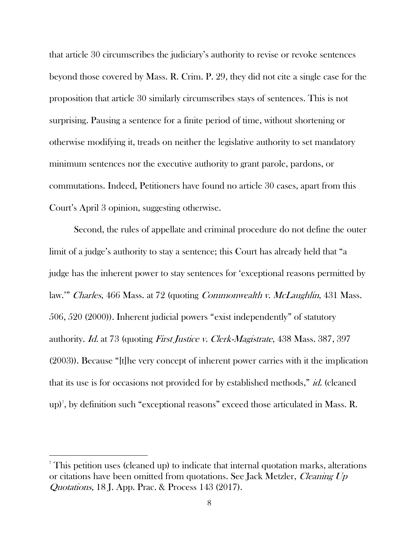that article 30 circumscribes the judiciary's authority to revise or revoke sentences beyond those covered by Mass. R. Crim. P. 29, they did not cite a single case for the proposition that article 30 similarly circumscribes stays of sentences. This is not surprising. Pausing a sentence for a finite period of time, without shortening or otherwise modifying it, treads on neither the legislative authority to set mandatory minimum sentences nor the executive authority to grant parole, pardons, or commutations. Indeed, Petitioners have found no article 30 cases, apart from this Court's April 3 opinion, suggesting otherwise.

Second, the rules of appellate and criminal procedure do not define the outer limit of a judge's authority to stay a sentence; this Court has already held that "a judge has the inherent power to stay sentences for 'exceptional reasons permitted by law." *Charles*, 466 Mass. at 72 (quoting *Commonwealth v. McLaughlin*, 431 Mass. 506, 520 (2000)). Inherent judicial powers "exist independently" of statutory authority. Id. at 73 (quoting First Justice v. Clerk-Magistrate, 438 Mass. 387, 397 (2003)). Because "[t]he very concept of inherent power carries with it the implication that its use is for occasions not provided for by established methods," *id.* (cleaned up)<sup>7</sup> , by definition such "exceptional reasons" exceed those articulated in Mass. R.

<sup>&</sup>lt;sup>7</sup> This petition uses (cleaned up) to indicate that internal quotation marks, alterations or citations have been omitted from quotations. See Jack Metzler, Cleaning Up Quotations, 18 J. App. Prac. & Process 143 (2017).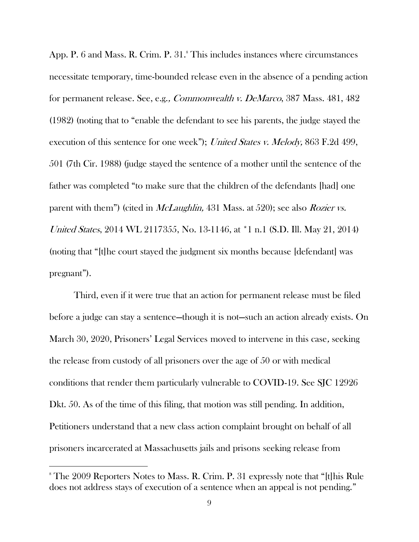App. P. 6 and Mass. R. Crim. P. 31.<sup>8</sup> This includes instances where circumstances necessitate temporary, time-bounded release even in the absence of a pending action for permanent release. See, e.g., Commonwealth v. DeMarco, 387 Mass. 481, 482 (1982) (noting that to "enable the defendant to see his parents, the judge stayed the execution of this sentence for one week"); United States v. Melody, 863 F.2d 499, 501 (7th Cir. 1988) (judge stayed the sentence of a mother until the sentence of the father was completed "to make sure that the children of the defendants [had] one parent with them") (cited in *McLaughlin*, 431 Mass. at 520); see also *Rozier vs.* United States, 2014 WL 2117355, No. 13-1146, at \*1 n.1 (S.D. Ill. May 21, 2014) (noting that "[t]he court stayed the judgment six months because [defendant] was pregnant").

Third, even if it were true that an action for permanent release must be filed before a judge can stay a sentence—though it is not—such an action already exists. On March 30, 2020, Prisoners' Legal Services moved to intervene in this case, seeking the release from custody of all prisoners over the age of 50 or with medical conditions that render them particularly vulnerable to COVID-19. See SJC 12926 Dkt. 50. As of the time of this filing, that motion was still pending. In addition, Petitioners understand that a new class action complaint brought on behalf of all prisoners incarcerated at Massachusetts jails and prisons seeking release from

<sup>&</sup>lt;sup>8</sup> The 2009 Reporters Notes to Mass. R. Crim. P. 31 expressly note that "[t]his Rule does not address stays of execution of a sentence when an appeal is not pending."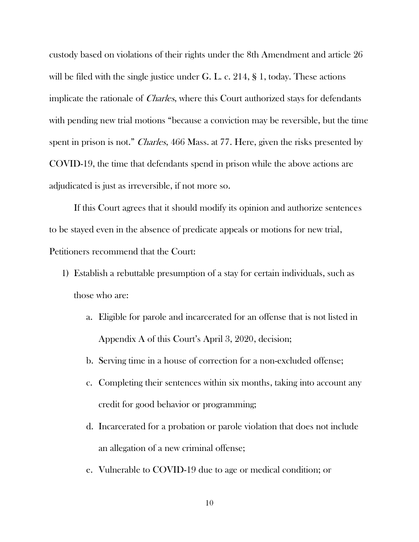custody based on violations of their rights under the 8th Amendment and article 26 will be filed with the single justice under G. L. c. 214, § 1, today. These actions implicate the rationale of *Charles*, where this Court authorized stays for defendants with pending new trial motions "because a conviction may be reversible, but the time spent in prison is not." Charles, 466 Mass. at 77. Here, given the risks presented by COVID-19, the time that defendants spend in prison while the above actions are adjudicated is just as irreversible, if not more so.

If this Court agrees that it should modify its opinion and authorize sentences to be stayed even in the absence of predicate appeals or motions for new trial, Petitioners recommend that the Court:

- 1) Establish a rebuttable presumption of a stay for certain individuals, such as those who are:
	- a. Eligible for parole and incarcerated for an offense that is not listed in Appendix A of this Court's April 3, 2020, decision;
	- b. Serving time in a house of correction for a non-excluded offense;
	- c. Completing their sentences within six months, taking into account any credit for good behavior or programming;
	- d. Incarcerated for a probation or parole violation that does not include an allegation of a new criminal offense;
	- e. Vulnerable to COVID-19 due to age or medical condition; or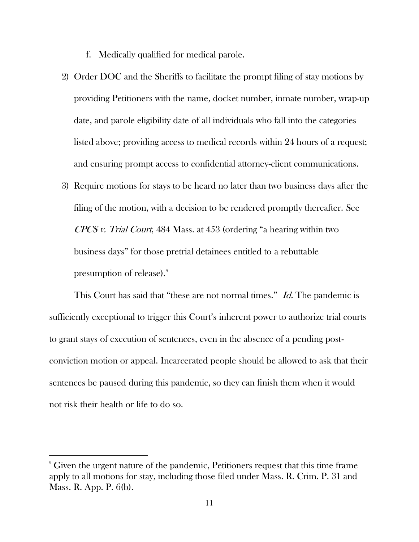f. Medically qualified for medical parole.

- 2) Order DOC and the Sheriffs to facilitate the prompt filing of stay motions by providing Petitioners with the name, docket number, inmate number, wrap-up date, and parole eligibility date of all individuals who fall into the categories listed above; providing access to medical records within 24 hours of a request; and ensuring prompt access to confidential attorney-client communications.
- 3) Require motions for stays to be heard no later than two business days after the filing of the motion, with a decision to be rendered promptly thereafter. See CPCS v. Trial Court, 484 Mass. at 453 (ordering "a hearing within two business days" for those pretrial detainees entitled to a rebuttable presumption of release).<sup>9</sup>

This Court has said that "these are not normal times." *Id.* The pandemic is sufficiently exceptional to trigger this Court's inherent power to authorize trial courts to grant stays of execution of sentences, even in the absence of a pending postconviction motion or appeal. Incarcerated people should be allowed to ask that their sentences be paused during this pandemic, so they can finish them when it would not risk their health or life to do so.

<sup>9</sup> Given the urgent nature of the pandemic, Petitioners request that this time frame apply to all motions for stay, including those filed under Mass. R. Crim. P. 31 and Mass. R. App. P. 6(b).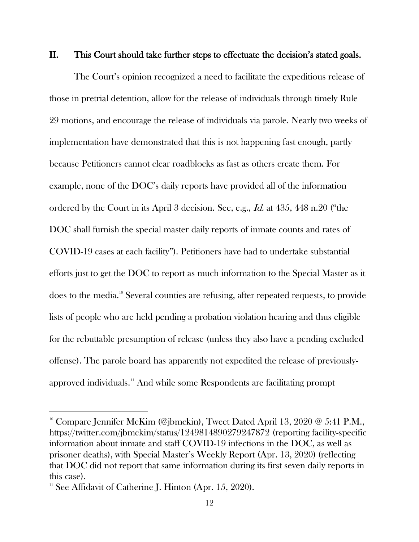#### II. This Court should take further steps to effectuate the decision's stated goals.

The Court's opinion recognized a need to facilitate the expeditious release of those in pretrial detention, allow for the release of individuals through timely Rule 29 motions, and encourage the release of individuals via parole. Nearly two weeks of implementation have demonstrated that this is not happening fast enough, partly because Petitioners cannot clear roadblocks as fast as others create them. For example, none of the DOC's daily reports have provided all of the information ordered by the Court in its April 3 decision. See, e.g., Id. at 435, 448 n.20 ("the DOC shall furnish the special master daily reports of inmate counts and rates of COVID-19 cases at each facility"). Petitioners have had to undertake substantial efforts just to get the DOC to report as much information to the Special Master as it does to the media. <sup>10</sup> Several counties are refusing, after repeated requests, to provide lists of people who are held pending a probation violation hearing and thus eligible for the rebuttable presumption of release (unless they also have a pending excluded offense). The parole board has apparently not expedited the release of previouslyapproved individuals.<sup>11</sup> And while some Respondents are facilitating prompt

l

<sup>&</sup>lt;sup>10</sup> Compare Jennifer McKim (@jbmckin), Tweet Dated April 13, 2020 @ 5:41 P.M., https://twitter.com/jbmckim/status/1249814890279247872 (reporting facility-specific information about inmate and staff COVID-19 infections in the DOC, as well as prisoner deaths), with Special Master's Weekly Report (Apr. 13, 2020) (reflecting that DOC did not report that same information during its first seven daily reports in this case).

 $11$  See Affidavit of Catherine J. Hinton (Apr. 15, 2020).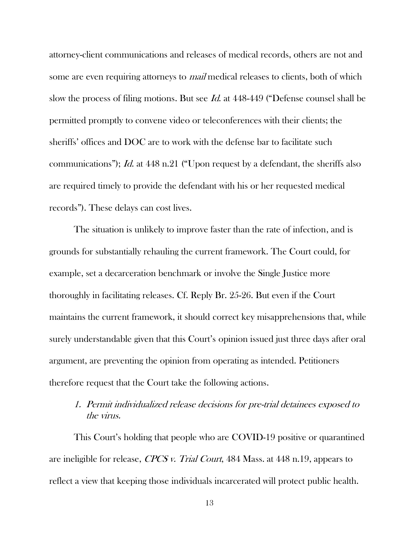attorney-client communications and releases of medical records, others are not and some are even requiring attorneys to *mail* medical releases to clients, both of which slow the process of filing motions. But see Id. at 448-449 ("Defense counsel shall be permitted promptly to convene video or teleconferences with their clients; the sheriffs' offices and DOC are to work with the defense bar to facilitate such communications"); Id. at 448 n.21 ("Upon request by a defendant, the sheriffs also are required timely to provide the defendant with his or her requested medical records"). These delays can cost lives.

The situation is unlikely to improve faster than the rate of infection, and is grounds for substantially rehauling the current framework. The Court could, for example, set a decarceration benchmark or involve the Single Justice more thoroughly in facilitating releases. Cf. Reply Br. 25-26. But even if the Court maintains the current framework, it should correct key misapprehensions that, while surely understandable given that this Court's opinion issued just three days after oral argument, are preventing the opinion from operating as intended. Petitioners therefore request that the Court take the following actions.

## 1. Permit individualized release decisions for pre-trial detainees exposed to the virus.

This Court's holding that people who are COVID-19 positive or quarantined are ineligible for release, CPCS v. Trial Court, 484 Mass. at 448 n.19, appears to reflect a view that keeping those individuals incarcerated will protect public health.

13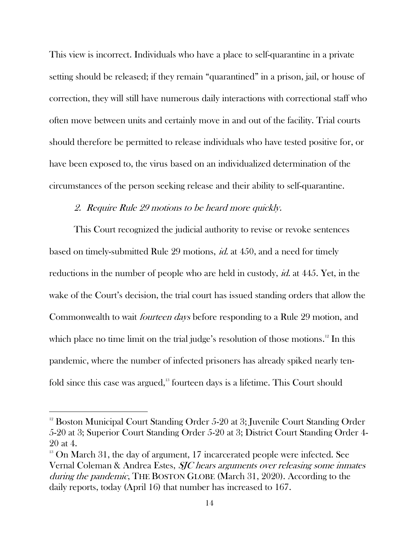This view is incorrect. Individuals who have a place to self-quarantine in a private setting should be released; if they remain "quarantined" in a prison, jail, or house of correction, they will still have numerous daily interactions with correctional staff who often move between units and certainly move in and out of the facility. Trial courts should therefore be permitted to release individuals who have tested positive for, or have been exposed to, the virus based on an individualized determination of the circumstances of the person seeking release and their ability to self-quarantine.

## 2. Require Rule 29 motions to be heard more quickly.

This Court recognized the judicial authority to revise or revoke sentences based on timely-submitted Rule 29 motions, id. at 450, and a need for timely reductions in the number of people who are held in custody, *id.* at 445. Yet, in the wake of the Court's decision, the trial court has issued standing orders that allow the Commonwealth to wait fourteen days before responding to a Rule 29 motion, and which place no time limit on the trial judge's resolution of those motions. <sup>12</sup> In this pandemic, where the number of infected prisoners has already spiked nearly tenfold since this case was argued,<sup>13</sup> fourteen days is a lifetime. This Court should

l

 $12$  Boston Municipal Court Standing Order 5-20 at 3; Juvenile Court Standing Order 5-20 at 3; Superior Court Standing Order 5-20 at 3; District Court Standing Order 4- 20 at 4.

 $13$  On March 31, the day of argument, 17 incarcerated people were infected. See Vernal Coleman & Andrea Estes, SJC hears arguments over releasing some inmates during the pandemic, THE BOSTON GLOBE (March 31, 2020). According to the daily reports, today (April 16) that number has increased to 167.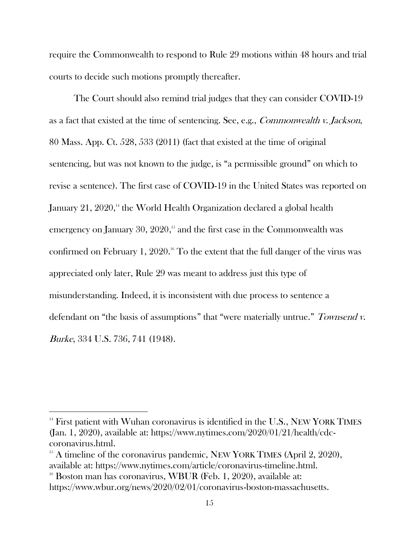require the Commonwealth to respond to Rule 29 motions within 48 hours and trial courts to decide such motions promptly thereafter.

The Court should also remind trial judges that they can consider COVID-19 as a fact that existed at the time of sentencing. See, e.g., Commonwealth v. Jackson, 80 Mass. App. Ct. 528, 533 (2011) (fact that existed at the time of original sentencing, but was not known to the judge, is "a permissible ground" on which to revise a sentence). The first case of COVID-19 in the United States was reported on January 21,  $2020$ ,<sup>14</sup> the World Health Organization declared a global health emergency on January 30, 2020, <sup>15</sup> and the first case in the Commonwealth was confirmed on February 1, 2020.<sup>16</sup> To the extent that the full danger of the virus was appreciated only later, Rule 29 was meant to address just this type of misunderstanding. Indeed, it is inconsistent with due process to sentence a defendant on "the basis of assumptions" that "were materially untrue." Townsend v. Burke, 334 U.S. 736, 741 (1948).

l

<sup>&</sup>lt;sup>14</sup> First patient with Wuhan coronavirus is identified in the U.S., NEW YORK TIMES (Jan. 1, 2020), available at: https://www.nytimes.com/2020/01/21/health/cdccoronavirus.html.

 $15$  A timeline of the coronavirus pandemic, NEW YORK TIMES (April 2, 2020), available at: https://www.nytimes.com/article/coronavirus-timeline.html.

 $16$  Boston man has coronavirus, WBUR (Feb. 1, 2020), available at: https://www.wbur.org/news/2020/02/01/coronavirus-boston-massachusetts.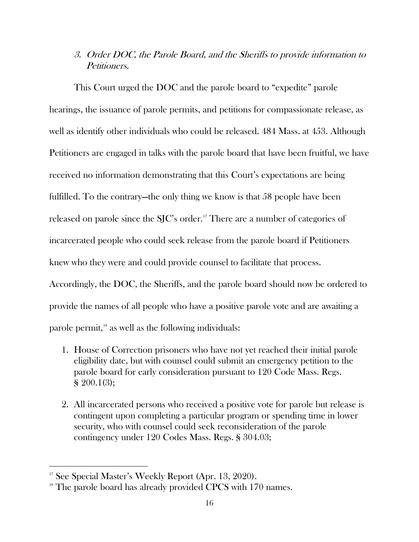## 3. Order DOC, the Parole Board, and the Sheriffs to provide information to Petitioners.

This Court urged the DOC and the parole board to "expedite" parole hearings, the issuance of parole permits, and petitions for compassionate release, as well as identify other individuals who could be released. 484 Mass. at 453. Although Petitioners are engaged in talks with the parole board that have been fruitful, we have received no information demonstrating that this Court's expectations are being fulfilled. To the contrary—the only thing we know is that 58 people have been released on parole since the SJC's order. <sup>17</sup> There are a number of categories of incarcerated people who could seek release from the parole board if Petitioners knew who they were and could provide counsel to facilitate that process. Accordingly, the DOC, the Sheriffs, and the parole board should now be ordered to

provide the names of all people who have a positive parole vote and are awaiting a

parole permit,<sup>18</sup> as well as the following individuals:

- 1. House of Correction prisoners who have not yet reached their initial parole eligibility date, but with counsel could submit an emergency petition to the parole board for early consideration pursuant to 120 Code Mass. Regs. § 200.1(3);
- 2. All incarcerated persons who received a positive vote for parole but release is contingent upon completing a particular program or spending time in lower security, who with counsel could seek reconsideration of the parole contingency under 120 Codes Mass. Regs. § 304.03;

<sup>&</sup>lt;sup>17</sup> See Special Master's Weekly Report (Apr. 13, 2020).

 $18$  The parole board has already provided CPCS with 170 names.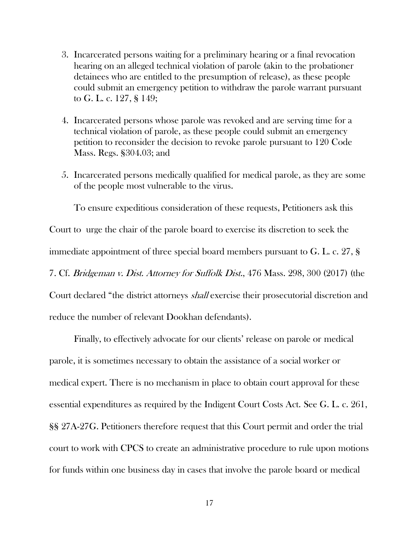- 3. Incarcerated persons waiting for a preliminary hearing or a final revocation hearing on an alleged technical violation of parole (akin to the probationer detainees who are entitled to the presumption of release), as these people could submit an emergency petition to withdraw the parole warrant pursuant to G. L. c. 127, § 149;
- 4. Incarcerated persons whose parole was revoked and are serving time for a technical violation of parole, as these people could submit an emergency petition to reconsider the decision to revoke parole pursuant to 120 Code Mass. Regs. §304.03; and
- 5. Incarcerated persons medically qualified for medical parole, as they are some of the people most vulnerable to the virus.

To ensure expeditious consideration of these requests, Petitioners ask this Court to urge the chair of the parole board to exercise its discretion to seek the immediate appointment of three special board members pursuant to G. L. c. 27, § 7. Cf. Bridgeman v. Dist. Attorney for Suffolk Dist., 476 Mass. 298, 300 (2017) (the Court declared "the district attorneys shall exercise their prosecutorial discretion and reduce the number of relevant Dookhan defendants).

Finally, to effectively advocate for our clients' release on parole or medical parole, it is sometimes necessary to obtain the assistance of a social worker or medical expert. There is no mechanism in place to obtain court approval for these essential expenditures as required by the Indigent Court Costs Act. See G. L. c. 261, §§ 27A-27G. Petitioners therefore request that this Court permit and order the trial court to work with CPCS to create an administrative procedure to rule upon motions for funds within one business day in cases that involve the parole board or medical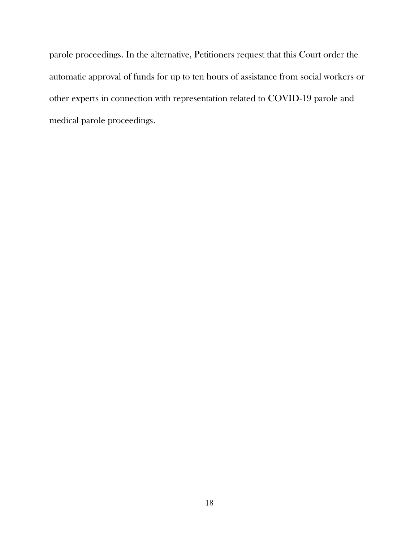parole proceedings. In the alternative, Petitioners request that this Court order the automatic approval of funds for up to ten hours of assistance from social workers or other experts in connection with representation related to COVID-19 parole and medical parole proceedings.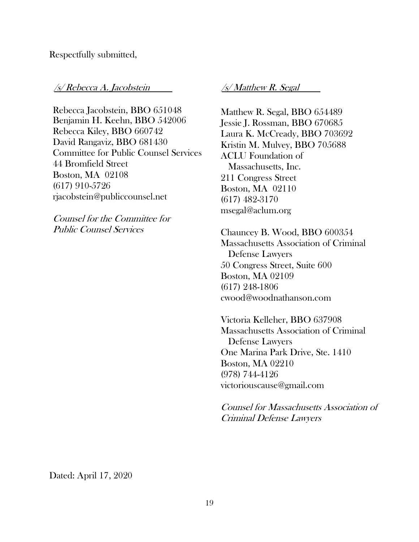### Respectfully submitted,

#### /s/ Rebecca A. Jacobstein /s/ Matthew R. Segal

Rebecca Jacobstein, BBO 651048 Benjamin H. Keehn, BBO 542006 Rebecca Kiley, BBO 660742 David Rangaviz, BBO 681430 Committee for Public Counsel Services 44 Bromfield Street Boston, MA 02108 (617) 910-5726 rjacobstein@publiccounsel.net

Counsel for the Committee for Public Counsel Services

Matthew R. Segal, BBO 654489 Jessie J. Rossman, BBO 670685 Laura K. McCready, BBO 703692 Kristin M. Mulvey, BBO 705688 ACLU Foundation of Massachusetts, Inc. 211 Congress Street Boston, MA 02110 (617) 482-3170 msegal@aclum.org

Chauncey B. Wood, BBO 600354 Massachusetts Association of Criminal Defense Lawyers 50 Congress Street, Suite 600 Boston, MA 02109 (617) 248-1806 [cwood@woodnathanson.com](mailto:cwood@woodnathanson.com)

Victoria Kelleher, BBO 637908 Massachusetts Association of Criminal Defense Lawyers One Marina Park Drive, Ste. 1410 Boston, MA 02210 (978) 744-4126 [victoriouscause@gmail.com](mailto:victoriouscause@gmail.com)

Counsel for Massachusetts Association of Criminal Defense Lawyers

Dated: April 17, 2020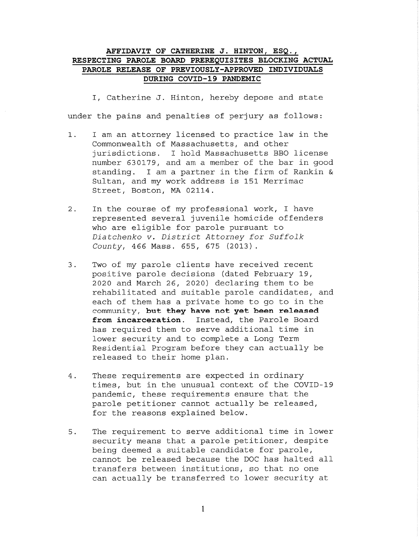#### AFFIDAVIT OF CATHERINE J. HINTON, ESQ., RESPECTING PAROLE BOARD PREREQUISITES BLOCKING ACTUAL PAROLE RELEASE OF PREVIOUSLY-APPROVED INDIVIDUALS DURING COVID-19 PANDEMIC

I, Catherine J. Hinton, hereby depose and state under the pains and penalties of perjury as follows:

- I am an attorney licensed to practice law in the  $1.$ Commonwealth of Massachusetts, and other jurisdictions. I hold Massachusetts BBO license number 630179, and am a member of the bar in good standing. I am a partner in the firm of Rankin & Sultan, and my work address is 151 Merrimac Street, Boston, MA 02114.
- In the course of my professional work, I have  $2.$ represented several juvenile homicide offenders who are eligible for parole pursuant to Diatchenko v. District Attorney for Suffolk County, 466 Mass. 655, 675 (2013).
- $3.$ Two of my parole clients have received recent positive parole decisions (dated February 19, 2020 and March 26, 2020) declaring them to be rehabilitated and suitable parole candidates, and each of them has a private home to go to in the community, but they have not yet been released from incarceration. Instead, the Parole Board has required them to serve additional time in lower security and to complete a Long Term Residential Program before they can actually be released to their home plan.
- $4.$ These requirements are expected in ordinary times, but in the unusual context of the COVID-19 pandemic, these requirements ensure that the parole petitioner cannot actually be released, for the reasons explained below.
- The requirement to serve additional time in lower 5. security means that a parole petitioner, despite being deemed a suitable candidate for parole, cannot be released because the DOC has halted all transfers between institutions, so that no one can actually be transferred to lower security at

 $\mathbf{1}$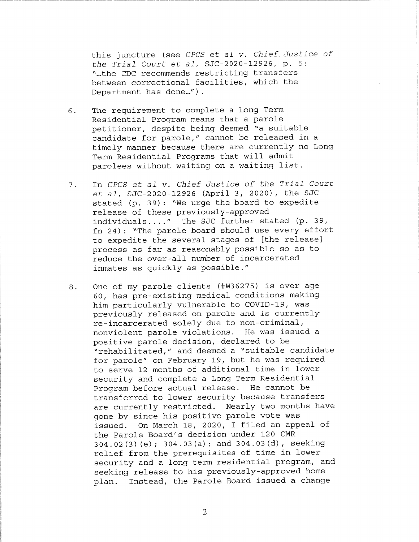this juncture (see CPCS et al v. Chief Justice of the Trial Court et al, SJC-2020-12926, p. 5: "...the CDC recommends restricting transfers between correctional facilities, which the Department has done...").

- The requirement to complete a Long Term 6. Residential Program means that a parole petitioner, despite being deemed "a suitable candidate for parole," cannot be released in a timely manner because there are currently no Long Term Residential Programs that will admit parolees without waiting on a waiting list.
- In CPCS et al v. Chief Justice of the Trial Court 7. et al, SJC-2020-12926 (April 3, 2020), the SJC stated (p. 39): "We urge the board to expedite release of these previously-approved individuals...." The SJC further stated (p. 39, fn 24): "The parole board should use every effort to expedite the several stages of [the release] process as far as reasonably possible so as to reduce the over-all number of incarcerated inmates as quickly as possible."
- One of my parole clients (#W36275) is over age  $8.$ 60, has pre-existing medical conditions making him particularly vulnerable to COVID-19, was previously released on parole and is currently re-incarcerated solely due to non-criminal, nonviolent parole violations. He was issued a positive parole decision, declared to be "rehabilitated," and deemed a "suitable candidate for parole" on February 19, but he was required to serve 12 months of additional time in lower security and complete a Long Term Residential Program before actual release. He cannot be transferred to lower security because transfers are currently restricted. Nearly two months have gone by since his positive parole vote was issued. On March 18, 2020, I filed an appeal of the Parole Board's decision under 120 CMR 304.02(3)(e); 304.03(a); and 304.03(d), seeking relief from the prerequisites of time in lower security and a long term residential program, and seeking release to his previously-approved home plan. Instead, the Parole Board issued a change